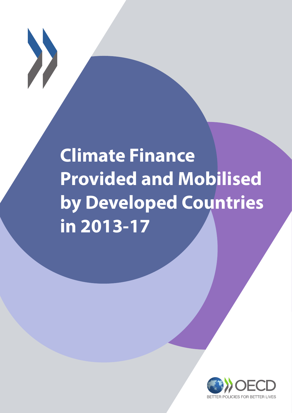

# **Climate Finance Provided and Mobilised by Developed Countries in 2013-17**

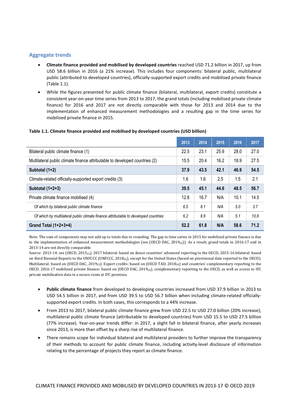### <span id="page-1-0"></span>**Aggregate trends**

- **Climate finance provided and mobilised by developed countries** reached USD 71.2 billion in 2017, up from USD 58.6 billion in 2016 (a 21% increase). This includes four components: bilateral public, multilateral public (attributed to developed countries), officially-supported export credits and mobilised private finance [\(Table](#page-1-0) 1.1).
- While the figures presented for public climate finance (bilateral, multilateral, export credits) constitute a consistent year-on-year time series from 2013 to 2017, the grand totals (including mobilised private climate finance) for 2016 and 2017 are not directly comparable with those for 2013 and 2014 due to the implementation of enhanced measurement methodologies and a resulting gap in the time series for mobilised private finance in 2015.

#### **Table 1.1. Climate finance provided and mobilised by developed countries (USD billion)**

|                                                                                     | 2013 | 2014 | 2015 | 2016 | 2017 |
|-------------------------------------------------------------------------------------|------|------|------|------|------|
| Bilateral public climate finance (1)                                                | 22.5 | 23.1 | 25.9 | 28.0 | 27.0 |
| Multilateral public climate finance attributable to developed countries (2)         | 15.5 | 20.4 | 16.2 | 18.9 | 27.5 |
| Subtotal (1+2)                                                                      | 37.9 | 43.5 | 42.1 | 46.9 | 54.5 |
| Climate-related officially-supported export credits (3)                             | 1.6  | 1.6  | 2.5  | 1.5  | 2.1  |
| Subtotal $(1+2+3)$                                                                  | 39.5 | 45.1 | 44.6 | 48.5 | 56.7 |
| Private climate finance mobilised (4)                                               | 12.8 | 16.7 | N/A  | 10.1 | 14.5 |
| Of which by bilateral public climate finance                                        | 6.5  | 8.1  | N/A  | 5.0  | 3.7  |
| Of which by multilateral public climate finance attributable to developed countries | 6.2  | 8.6  | N/A  | 5.1  | 10.8 |
| Grand Total $(1+2+3+4)$                                                             | 52.2 | 61.8 | N/A  | 58.6 | 71.2 |

Note: The sum of components may not add up to totals due to rounding. The gap in time series in 2015 for mobilised private finance is due to the implementation of enhanced measurement methodologies (see (OECD DAC, 2019 $_{[6]}$ )). As a result, grand totals in 2016-17 and in 2013-14 are not directly comparable.

Source: 2013-14: see (OECD, 2015<sub>[1]</sub>). 2017 bilateral: based on donor countries' advanced reporting to the OECD; 2015-16 bilateral: based on third Biennial Reports to the UNFCCC (UNFCCC, 2018[5]), except for the United States (based on provisional data reported to the OECD). Multilateral: based on (OECD DAC, 2019[3]). Export credits: based on (OECD TAD, 2018[4]) and countries' complementary reporting to the OECD. 2016-17 mobilised private finance: based on (OECD DAC, 2019 $_{[6]}$ ), complementary reporting to the OECD, as well as access to IFC private mobilisation data in a secure room at IFC premises.

- **Public climate finance** from developed to developing countries increased from USD 37.9 billion in 2013 to USD 54.5 billion in 2017, and from USD 39.5 to USD 56.7 billion when including climate-related officiallysupported export credits. In both cases, this corresponds to a 44% increase.
- From 2013 to 2017, bilateral public climate finance grew from USD 22.5 to USD 27.0 billion (20% increase), multilateral public climate finance (attributable to developed countries) from USD 15.5 to USD 27.5 billion (77% increase). Year-on-year trends differ: in 2017, a slight fall in bilateral finance, after yearly increases since 2013, is more than offset by a sharp rise of multilateral finance.
- There remains scope for individual bilateral and multilateral providers to further improve the transparency of their methods to account for public climate finance, including activity-level disclosure of information relating to the percentage of projects they report as climate finance.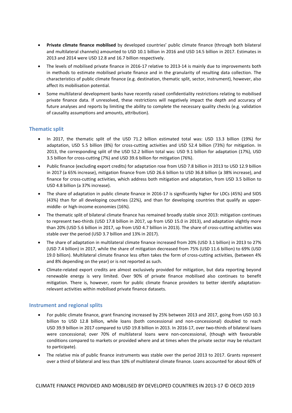- **Private climate finance mobilised** by developed countries' public climate finance (through both bilateral and multilateral channels) amounted to USD 10.1 billion in 2016 and USD 14.5 billion in 2017. Estimates in 2013 and 2014 were USD 12.8 and 16.7 billion respectively.
- The levels of mobilised private finance in 2016-17 relative to 2013-14 is mainly due to improvements both in methods to estimate mobilised private finance and in the granularity of resulting data collection. The characteristics of public climate finance (e.g. destination, thematic split, sector, instrument), however, also affect its mobilisation potential.
- Some multilateral development banks have recently raised confidentiality restrictions relating to mobilised private finance data. If unresolved, these restrictions will negatively impact the depth and accuracy of future analyses and reports by limiting the ability to complete the necessary quality checks (e.g. validation of causality assumptions and amounts, attribution).

# **Thematic split**

- In 2017, the thematic split of the USD 71.2 billion estimated total was: USD 13.3 billion (19%) for adaptation, USD 5.5 billion (8%) for cross-cutting activities and USD 52.4 billion (73%) for mitigation. In 2013, the corresponding split of the USD 52.2 billion total was: USD 9.1 billion for adaptation (17%), USD 3.5 billion for cross-cutting (7%) and USD 39.6 billion for mitigation (76%).
- Public finance (excluding export credits) for adaptation rose from USD 7.8 billion in 2013 to USD 12.9 billion in 2017 (a 65% increase), mitigation finance from USD 26.6 billion to USD 36.8 billion (a 38% increase), and finance for cross-cutting activities, which address both mitigation and adaptation, from USD 3.5 billion to USD 4.8 billion (a 37% increase).
- The share of adaptation in public climate finance in 2016-17 is significantly higher for LDCs (45%) and SIDS (43%) than for all developing countries (22%), and than for developing countries that qualify as uppermiddle- or high-income economies (16%).
- The thematic split of bilateral climate finance has remained broadly stable since 2013: mitigation continues to represent two-thirds (USD 17.8 billion in 2017, up from USD 15.0 in 2013), and adaptation slightly more than 20% (USD 5.6 billion in 2017, up from USD 4.7 billion in 2013). The share of cross-cutting activities was stable over the period (USD 3.7 billion and 13% in 2017).
- The share of adaptation in multilateral climate finance increased from 20% (USD 3.1 billion) in 2013 to 27% (USD 7.4 billion) in 2017, while the share of mitigation decreased from 75% (USD 11.6 billion) to 69% (USD 19.0 billion). Multilateral climate finance less often takes the form of cross-cutting activities, (between 4% and 8% depending on the year) or is not reported as such.
- Climate-related export credits are almost exclusively provided for mitigation, but data reporting beyond renewable energy is very limited. Over 90% of private finance mobilised also continues to benefit mitigation. There is, however, room for public climate finance providers to better identify adaptationrelevant activities within mobilised private finance datasets.

# **Instrument and regional splits**

- For public climate finance, grant financing increased by 25% between 2013 and 2017, going from USD 10.3 billion to USD 12.8 billion, while loans (both concessional and non-concessional) doubled to reach USD 39.9 billion in 2017 compared to USD 19.8 billion in 2013. In 2016-17, over two-thirds of bilateral loans were concessional; over 70% of multilateral loans were non-concessional, (though with favourable conditions compared to markets or provided where and at times when the private sector may be reluctant to participate).
- The relative mix of public finance instruments was stable over the period 2013 to 2017. Grants represent over a third of bilateral and less than 10% of multilateral climate finance. Loans accounted for about 60% of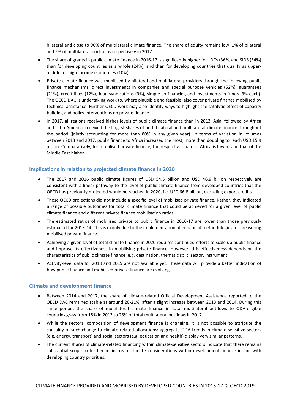bilateral and close to 90% of multilateral climate finance. The share of equity remains low: 1% of bilateral and 2% of multilateral portfolios respectively in 2017.

- The share of grants in public climate finance in 2016-17 is significantly higher for LDCs (36%) and SIDS (54%) than for developing countries as a whole (24%), and than for developing countries that qualify as uppermiddle- or high-income economies (10%).
- Private climate finance was mobilised by bilateral and multilateral providers through the following public finance mechanisms: direct investments in companies and special purpose vehicles (52%), guarantees (21%), credit lines (12%), loan syndications (9%), simple co-financing and investments in funds (3% each). The OECD DAC is undertaking work to, where plausible and feasible, also cover private finance mobilised by technical assistance. Further OECD work may also identify ways to highlight the catalytic effect of capacity building and policy interventions on private finance.
- In 2017, all regions received higher levels of public climate finance than in 2013. Asia, followed by Africa and Latin America, received the largest shares of both bilateral and multilateral climate finance throughout the period (jointly accounting for more than 80% in any given year). In terms of variation in volumes between 2013 and 2017, public finance to Africa increased the most, more than doubling to reach USD 15.9 billion. Comparatively, for mobilised private finance, the respective share of Africa is lower, and that of the Middle East higher.

# **Implications in relation to projected climate finance in 2020**

- The 2017 and 2016 public climate figures of USD 54.5 billion and USD 46.9 billion respectively are consistent with a linear pathway to the level of public climate finance from developed countries that the OECD has previously projected would be reached in 2020, i.e. USD 66.8 billion, excluding export credits.
- Those OECD projections did not include a specific level of mobilised private finance. Rather, they indicated a range of possible outcomes for total climate finance that could be achieved for a given level of public climate finance and different private finance mobilisation ratios.
- The estimated ratios of mobilised private to public finance in 2016-17 are lower than those previously estimated for 2013-14. This is mainly due to the implementation of enhanced methodologies for measuring mobilised private finance.
- Achieving a given level of total climate finance in 2020 requires continued efforts to scale up public finance and improve its effectiveness in mobilising private finance. However, this effectiveness depends on the characteristics of public climate finance, e.g. destination, thematic split, sector, instrument.
- Activity-level data for 2018 and 2019 are not available yet. These data will provide a better indication of how public finance and mobilised private finance are evolving.

# **Climate and development finance**

- Between 2014 and 2017, the share of climate-related Official Development Assistance reported to the OECD DAC remained stable at around 20-21%, after a slight increase between 2013 and 2014. During this same period, the share of multilateral climate finance in total multilateral outflows to ODA-eligible countries grew from 18% in 2013 to 28% of total multilateral outflows in 2017.
- While the sectoral composition of development finance is changing, it is not possible to attribute the causality of such change to climate-related allocations: aggregate ODA trends in climate-sensitive sectors (e.g. energy, transport) and social sectors (e.g. education and health) display very similar patterns.
- The current shares of climate-related financing within climate-sensitive sectors indicate that there remains substantial scope to further mainstream climate considerations within development finance in line with developing country priorities.